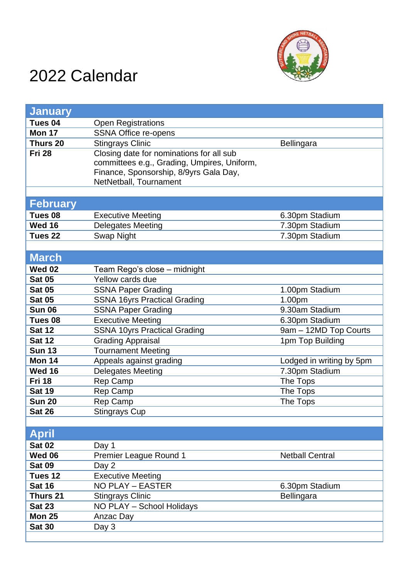

## 2022 Calendar

| <b>January</b>     |                                             |                          |
|--------------------|---------------------------------------------|--------------------------|
| Tues 04            | <b>Open Registrations</b>                   |                          |
| Mon 17             | <b>SSNA Office re-opens</b>                 |                          |
| Thurs 20           | <b>Stingrays Clinic</b>                     | Bellingara               |
| <b>Fri 28</b>      | Closing date for nominations for all sub    |                          |
|                    | committees e.g., Grading, Umpires, Uniform, |                          |
|                    | Finance, Sponsorship, 8/9yrs Gala Day,      |                          |
|                    | NetNetball, Tournament                      |                          |
|                    |                                             |                          |
| <b>February</b>    |                                             |                          |
| Tues 08            | <b>Executive Meeting</b>                    | 6.30pm Stadium           |
| <b>Wed 16</b>      | <b>Delegates Meeting</b>                    | 7.30pm Stadium           |
| Tues <sub>22</sub> | Swap Night                                  | 7.30pm Stadium           |
|                    |                                             |                          |
| <b>March</b>       |                                             |                          |
| <b>Wed 02</b>      | Team Rego's close - midnight                |                          |
| <b>Sat 05</b>      | Yellow cards due                            |                          |
| <b>Sat 05</b>      | <b>SSNA Paper Grading</b>                   | 1.00pm Stadium           |
| <b>Sat 05</b>      | <b>SSNA 16yrs Practical Grading</b>         | 1.00pm                   |
| <b>Sun 06</b>      | <b>SSNA Paper Grading</b>                   | 9.30am Stadium           |
| Tues 08            | <b>Executive Meeting</b>                    | 6.30pm Stadium           |
| <b>Sat 12</b>      | <b>SSNA 10yrs Practical Grading</b>         | 9am - 12MD Top Courts    |
| <b>Sat 12</b>      | <b>Grading Appraisal</b>                    | 1pm Top Building         |
| <b>Sun 13</b>      | <b>Tournament Meeting</b>                   |                          |
| <b>Mon 14</b>      | Appeals against grading                     | Lodged in writing by 5pm |
| <b>Wed 16</b>      | Delegates Meeting                           | 7.30pm Stadium           |
| <b>Fri 18</b>      | Rep Camp                                    | The Tops                 |
| <b>Sat 19</b>      | Rep Camp                                    | The Tops                 |
| <b>Sun 20</b>      | Rep Camp                                    | The Tops                 |
| <b>Sat 26</b>      | <b>Stingrays Cup</b>                        |                          |
|                    |                                             |                          |
| <b>April</b>       |                                             |                          |
| <b>Sat 02</b>      | Day 1                                       |                          |
| <b>Wed 06</b>      | <b>Premier League Round 1</b>               | <b>Netball Central</b>   |
| <b>Sat 09</b>      | Day 2                                       |                          |
| Tues 12            | <b>Executive Meeting</b>                    |                          |
| <b>Sat 16</b>      | <b>NO PLAY - EASTER</b>                     | 6.30pm Stadium           |
| Thurs 21           | <b>Stingrays Clinic</b>                     | Bellingara               |
| <b>Sat 23</b>      | NO PLAY - School Holidays                   |                          |
| <b>Mon 25</b>      | Anzac Day                                   |                          |
| <b>Sat 30</b>      | Day 3                                       |                          |
|                    |                                             |                          |
|                    |                                             |                          |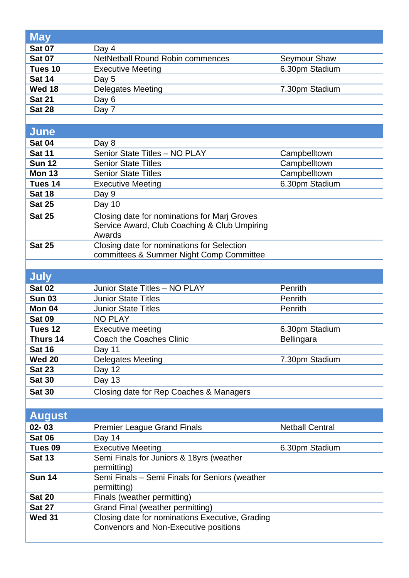| <b>May</b>    |                                                               |                        |
|---------------|---------------------------------------------------------------|------------------------|
|               |                                                               |                        |
| <b>Sat 07</b> | Day 4                                                         |                        |
| <b>Sat 07</b> | <b>NetNetball Round Robin commences</b>                       | <b>Seymour Shaw</b>    |
| Tues 10       | <b>Executive Meeting</b>                                      | 6.30pm Stadium         |
| <b>Sat 14</b> | Day 5                                                         |                        |
| <b>Wed 18</b> | <b>Delegates Meeting</b>                                      | 7.30pm Stadium         |
| <b>Sat 21</b> | Day 6                                                         |                        |
| <b>Sat 28</b> | Day 7                                                         |                        |
|               |                                                               |                        |
| <b>June</b>   |                                                               |                        |
| <b>Sat 04</b> | Day 8                                                         |                        |
| <b>Sat 11</b> | Senior State Titles - NO PLAY                                 | Campbelltown           |
| <b>Sun 12</b> | <b>Senior State Titles</b>                                    | Campbelltown           |
| <b>Mon 13</b> | <b>Senior State Titles</b>                                    | Campbelltown           |
| Tues 14       | <b>Executive Meeting</b>                                      | 6.30pm Stadium         |
| <b>Sat 18</b> | Day 9                                                         |                        |
| <b>Sat 25</b> | Day 10                                                        |                        |
| <b>Sat 25</b> | Closing date for nominations for Marj Groves                  |                        |
|               | Service Award, Club Coaching & Club Umpiring                  |                        |
|               | Awards                                                        |                        |
| <b>Sat 25</b> | Closing date for nominations for Selection                    |                        |
|               | committees & Summer Night Comp Committee                      |                        |
|               |                                                               |                        |
| <b>July</b>   |                                                               |                        |
| <b>Sat 02</b> | Junior State Titles - NO PLAY                                 | Penrith                |
| <b>Sun 03</b> | <b>Junior State Titles</b>                                    | Penrith                |
| Mon 04        | <b>Junior State Titles</b>                                    | Penrith                |
| <b>Sat 09</b> | <b>NO PLAY</b>                                                |                        |
| Tues 12       | <b>Executive meeting</b>                                      | 6.30pm Stadium         |
| Thurs 14      | Coach the Coaches Clinic                                      | Bellingara             |
| <b>Sat 16</b> | Day 11                                                        |                        |
| <b>Wed 20</b> | <b>Delegates Meeting</b>                                      | 7.30pm Stadium         |
| <b>Sat 23</b> | Day 12                                                        |                        |
| <b>Sat 30</b> | <b>Day 13</b>                                                 |                        |
| <b>Sat 30</b> | Closing date for Rep Coaches & Managers                       |                        |
|               |                                                               |                        |
|               |                                                               |                        |
| <b>August</b> |                                                               |                        |
| $02 - 03$     | <b>Premier League Grand Finals</b>                            | <b>Netball Central</b> |
| <b>Sat 06</b> | Day 14                                                        |                        |
| Tues 09       | <b>Executive Meeting</b>                                      | 6.30pm Stadium         |
| <b>Sat 13</b> | Semi Finals for Juniors & 18yrs (weather                      |                        |
| <b>Sun 14</b> | permitting)<br>Semi Finals - Semi Finals for Seniors (weather |                        |
|               | permitting)                                                   |                        |
| <b>Sat 20</b> | Finals (weather permitting)                                   |                        |
| <b>Sat 27</b> | Grand Final (weather permitting)                              |                        |
| <b>Wed 31</b> | Closing date for nominations Executive, Grading               |                        |
|               |                                                               |                        |
|               | Convenors and Non-Executive positions                         |                        |